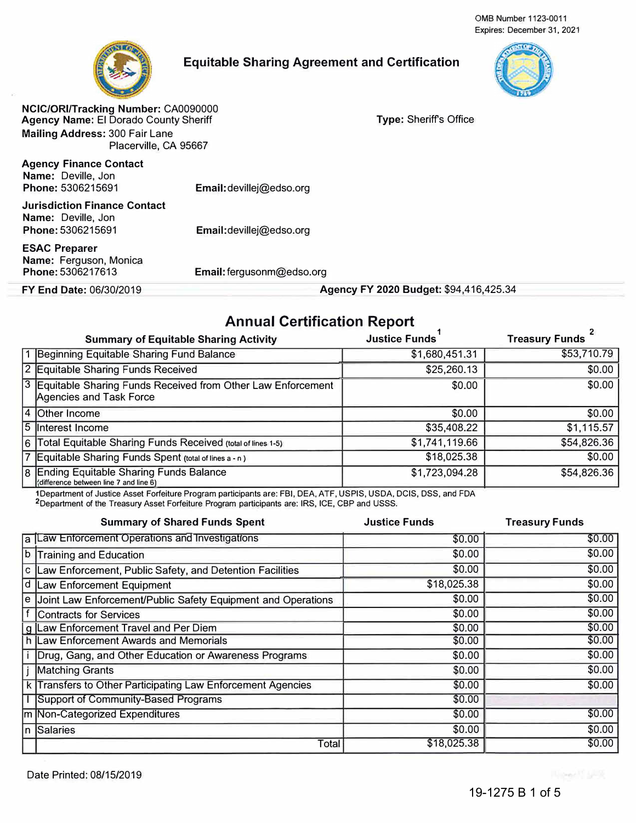0MB Number 1123-0011 Expires: December 31, 2021



## **Equitable Sharing Agreement and Certification**



**NCIC/ORI/Tracking Number:** CA0090000 **Agency Name:** El Dorado County Sheriff **Mailing Address:** 300 Fair Lane Placerville, CA 95667

**Agency Finance Contact Name:** Deville, Jon **Phone:** 5306215691

Email: devillej@edso.org

Email:devillej@edso.org

**Jurisdiction Finance Contact Name:** Deville, Jon Phone:5306215691

**ESAC Preparer Name:** Ferguson, Monica Phone:5306217613

**Email:** fergusonm@edso.org

**FY End Date: 06/30/2019 <b>Agency FY 2020 Budget:** \$94,416,425.34

**Type:** Sheriffs Office

## **Annual Certification Report**

| <b>Summary of Equitable Sharing Activity</b>                                             | <b>Justice Funds</b> | <b>Treasury Funds</b> |
|------------------------------------------------------------------------------------------|----------------------|-----------------------|
| 1 Beginning Equitable Sharing Fund Balance                                               | \$1,680,451.31       | \$53,710.79           |
| 2 Equitable Sharing Funds Received                                                       | \$25,260.13          | \$0.00                |
| 3 Equitable Sharing Funds Received from Other Law Enforcement<br>Agencies and Task Force | \$0.00               | \$0.00                |
| 4 Other Income                                                                           | \$0.00               | \$0.00                |
| 5 Interest Income                                                                        | \$35,408.22          | \$1,115.57            |
| 6   Total Equitable Sharing Funds Received (total of lines 1-5)                          | \$1,741,119.66       | \$54,826.36           |
| 7 Equitable Sharing Funds Spent (total of lines a - n)                                   | \$18,025.38          | \$0.00                |
| 8 Ending Equitable Sharing Funds Balance<br>(difference between line 7 and line 6)       | \$1,723,094.28       | \$54,826.36           |

1Department of Justice Asset Forfeiture Program participants are: FBI, DEA, ATF, USPIS, USDA. DCIS, DSS, and FDA 2Department of the Treasury Asset Forfeiture Program participants are: IRS, ICE, CBP and USSS.

|   | <b>Summary of Shared Funds Spent</b>                           | <b>Justice Funds</b> | <b>Treasury Funds</b> |
|---|----------------------------------------------------------------|----------------------|-----------------------|
|   | a Law Enforcement Operations and Investigations                | \$0.00               | \$0.00                |
| b | Training and Education                                         | \$0.00               | \$0.00                |
|   | c Law Enforcement, Public Safety, and Detention Facilities     | \$0.00               | \$0.00                |
|   | d Law Enforcement Equipment                                    | \$18,025.38          | \$0.00                |
|   | e Joint Law Enforcement/Public Safety Equipment and Operations | \$0.00               | \$0.00                |
|   | f Contracts for Services                                       | \$0.00               | \$0.00                |
|   | g Law Enforcement Travel and Per Diem                          | \$0.00               | \$0.00                |
|   | h Law Enforcement Awards and Memorials                         | \$0.00               | \$0.00                |
|   | Drug, Gang, and Other Education or Awareness Programs          | \$0.00               | \$0.00                |
|   | j Matching Grants                                              | \$0.00               | \$0.00                |
|   | k Transfers to Other Participating Law Enforcement Agencies    | \$0.00               | \$0.00                |
|   | Support of Community-Based Programs                            | \$0.00               |                       |
|   | m Non-Categorized Expenditures                                 | \$0.00               | \$0.00                |
|   | n Salaries                                                     | \$0.00               | \$0.00                |
|   | Total                                                          | \$18,025.38          | \$0.00                |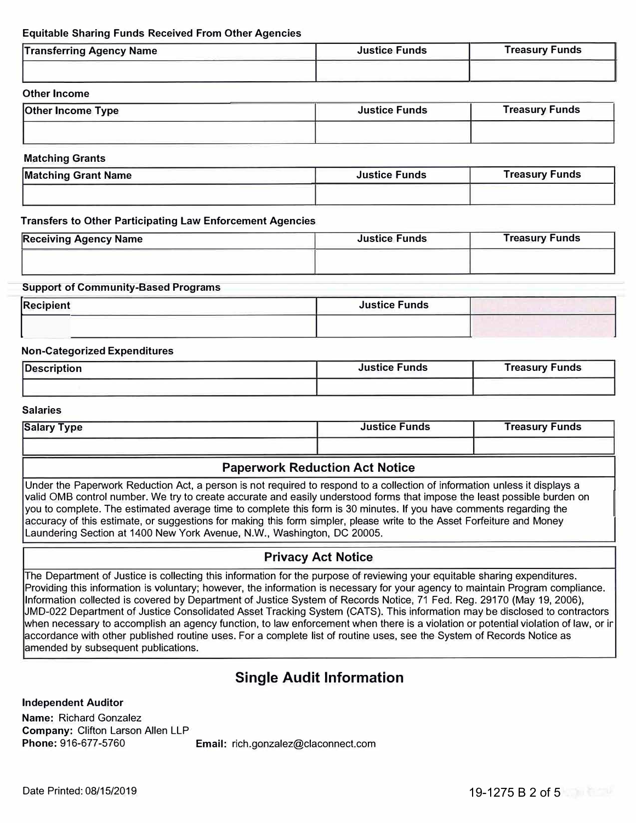### **Equitable Sharing Funds Received From Other Agencies**

| <b>Transferring Agency Name</b> | <b>Justice Funds</b> | <b>Treasury Funds</b> |
|---------------------------------|----------------------|-----------------------|
|                                 |                      |                       |

#### **Other Income**

| <b>Justice Funds</b> | <b>Treasury Funds</b> |
|----------------------|-----------------------|
|                      |                       |
|                      |                       |

#### **Matching Grants**

| <b>Matching Grant Name</b> | <b>Justice Funds</b> | Treasury Funds |
|----------------------------|----------------------|----------------|
|                            |                      |                |

#### **Transfers to Other Participating Law Enforcement Agencies**

| <b>Receiving Agency Name</b> | <b>Justice Funds</b> | <b>Treasury Funds</b> |
|------------------------------|----------------------|-----------------------|
|                              |                      |                       |
|                              |                      |                       |

#### **Support of Community-Based Programs**

| <b>Recipient</b> | <b>Justice Funds</b> |  |
|------------------|----------------------|--|
|                  |                      |  |

#### **Non-Categorized Expenditures**

| Description | <b>Justice Funds</b> | <b>Treasury Funds</b> |
|-------------|----------------------|-----------------------|
|             |                      |                       |

#### **Salaries**

| <b>Salary Type</b> | <b>Justice Funds</b> | Treasury Funds |  |
|--------------------|----------------------|----------------|--|
|                    |                      |                |  |

## **Paperwork Reduction Act Notice**

Under the Paperwork Reduction Act, a person is not required to respond to a collection of information unless it displays a valid 0MB control number. We try to create accurate and easily understood forms that impose the least possible burden on you to complete. The estimated average time to complete this form is 30 minutes. If you have comments regarding the accuracy of this estimate, or suggestions for making this form simpler, please write to the Asset Forfeiture and Money Laundering Section at 1400 New York Avenue, N.W., Washington, DC 20005.

## **Privacy Act Notice**

The Department of Justice is collecting this information for the purpose of reviewing your equitable sharing expenditures. Providing this information is voluntary; however, the information is necessary for your agency to maintain Program compliance. Information collected is covered by Department of Justice System of Records Notice, 71 Fed. Reg. 29170 (May 19, 2006), JMD-022 Department of Justice Consolidated Asset Tracking System (CATS). This information may be disclosed to contractors when necessary to accomplish an agency function, to law enforcement when there is a violation or potential violation of law, or ir accordance with other published routine uses. For a complete list of routine uses, see the System of Records Notice as amended by subsequent publications.

## **Single Audit Information**

**Independent Auditor** 

**Name:** Richard Gonzalez **Company:** Clifton Larson Allen LLP

**Phone:** 916-677-5760 **Email:** rich.gonzalez@claconnect.com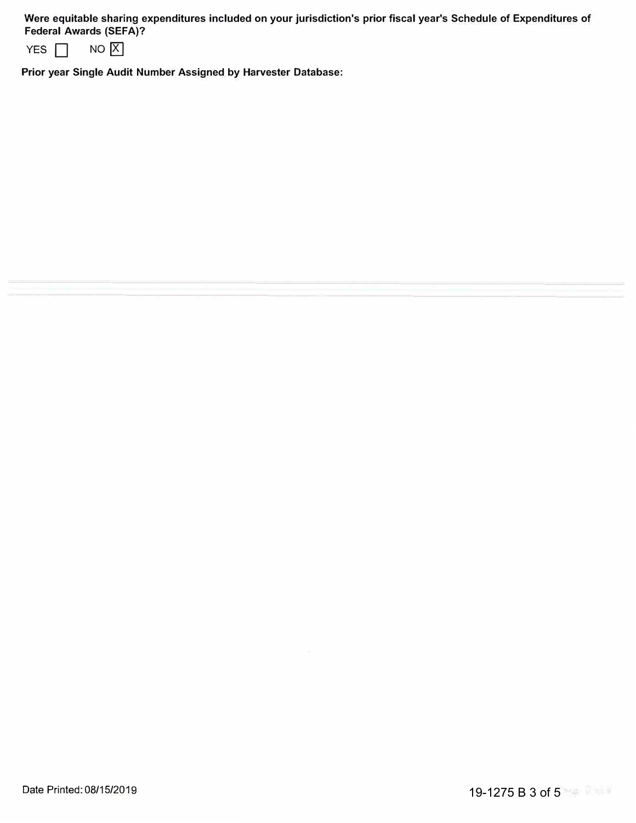**Were equitable sharing expenditures included on your jurisdiction's prior fiscal year's Schedule of Expenditures of Federal Awards (SEFA)?** 

| YES <b>F</b> | NO X |  |
|--------------|------|--|

**Prior year Single Audit Number Assigned by Harvester Database:**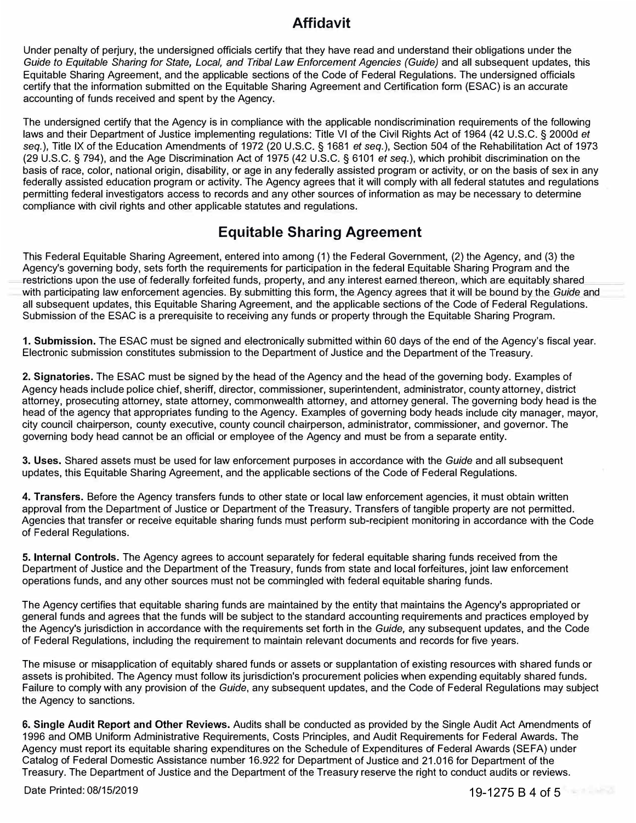## **Affidavit**

Under penalty of perjury, the undersigned officials certify that they have read and understand their obligations under the Guide to Equitable Sharing for State, Local, and Tribal Law Enforcement Agencies (Guide) and all subsequent updates, this Equitable Sharing Agreement, and the applicable sections of the Code of Federal Regulations. The undersigned officials certify that the information submitted on the Equitable Sharing Agreement and Certification form (ESAC) is an accurate accounting of funds received and spent by the Agency.

The undersigned certify that the Agency is in compliance with the applicable nondiscrimination requirements of the following laws and their Department of Justice implementing regulations: Title VI of the Civil Rights Act of 1964 (42 U.S.C. § 2000d *et seq.),* Title IX of the Education Amendments of 1972 (20 U .S.C. § 1681 *et seq.),* Section 504 of the Rehabilitation Act of 1973 (29 U.S.C. § 794), and the Age Discrimination Act of 1975 (42 U.S.C. § 6101 *et seq.),* which prohibit discrimination on the basis of race, color, national origin, disability, or age in any federally assisted program or activity, or on the basis of sex in any federally assisted education program or activity. The Agency agrees that it will comply with all federal statutes and regulations permitting federal investigators access to records and any other sources of information as may be necessary to determine compliance with civil rights and other applicable statutes and regulations.

# **Equitable Sharing Agreement**

This Federal Equitable Sharing Agreement, entered into among (1) the Federal Government, (2) the Agency, and (3) the Agency's governing body, sets forth the requirements for participation in the federal Equitable Sharing Program and the restrictions upon the use of federally forfeited funds, property, and any interest earned thereon, which are equitably shared with participating law enforcement agencies. By-submitting this form, the Agency agrees that it will be bound by the *Guide* and all subsequent updates, this Equitable Sharing Agreement, and the applicable sections of the Code of Federal Regulations. Submission of the ESAC is a prerequisite to receiving any funds or property through the Equitable Sharing Program.

**1. Submission.** The ESAC must be signed and electronically submitted within 60 days of the end of the Agency's fiscal year. Electronic submission constitutes submission to the Department of Justice and the Department of the Treasury.

**2. Signatories.** The ESAC must be signed by the head of the Agency and the head of the governing body. Examples of Agency heads include police chief, sheriff, director, commissioner, superintendent, administrator, county attorney, district attorney, prosecuting attorney, state attorney, commonwealth attorney, and attorney general. The governing body head is the head of the agency that appropriates funding to the Agency. Examples of governing body heads include city manager, mayor, city council chairperson, county executive, county council chairperson, administrator, commissioner, and governor. The governing body head cannot be an official or employee of the Agency and must be from a separate entity.

**3. Uses.** Shared assets must be used for law enforcement purposes in accordance with the *Guide* and all subsequent updates, this Equitable Sharing Agreement, and the applicable sections of the Code of Federal Regulations.

**4. Transfers.** Before the Agency transfers funds to other state or local law enforcement agencies, it must obtain written approval from the Department of Justice or Department of the Treasury. Transfers of tangible property are not permitted. Agencies that transfer or receive equitable sharing funds must perform sub-recipient monitoring in accordance with the Code of Federal Regulations.

**5. Internal Controls.** The Agency agrees to account separately for federal equitable sharing funds received from the Department of Justice and the Department of the Treasury, funds from state and local forfeitures, joint law enforcement operations funds, and any other sources must not be commingled with federal equitable sharing funds.

The Agency certifies that equitable sharing funds are maintained by the entity that maintains the Agency's appropriated or general funds and agrees that the funds will be subject to the standard accounting requirements and practices employed by the Agency's jurisdiction in accordance with the requirements set forth in the *Guide,* any subsequent updates, and the Code of Federal Regulations, including the requirement to maintain relevant documents and records for five years.

The misuse or misapplication of equitably shared funds or assets or supplantation of existing resources with shared funds or assets is prohibited. The Agency must follow its jurisdiction's procurement policies when expending equitably shared funds. Failure to comply with any provision of the *Guide,* any subsequent updates, and the Code of Federal Regulations may subject the Agency to sanctions.

**6. Single Audit Report and Other Reviews.** Audits shall be conducted as provided by the Single Audit Act Amendments of 1996 and 0MB Uniform Administrative Requirements, Costs Principles, and Audit Requirements for Federal Awards. The Agency must report its equitable sharing expenditures on the Schedule of Expenditures of Federal Awards (SEFA) under Catalog of Federal Domestic Assistance number 16.922 for Department of Justice and 21.016 for Department of the Treasury. The Department of Justice and the Department of the Treasury reserve the right to conduct audits or reviews.

Date Printed: 08/15/2019

19-1275 B 4 of 5